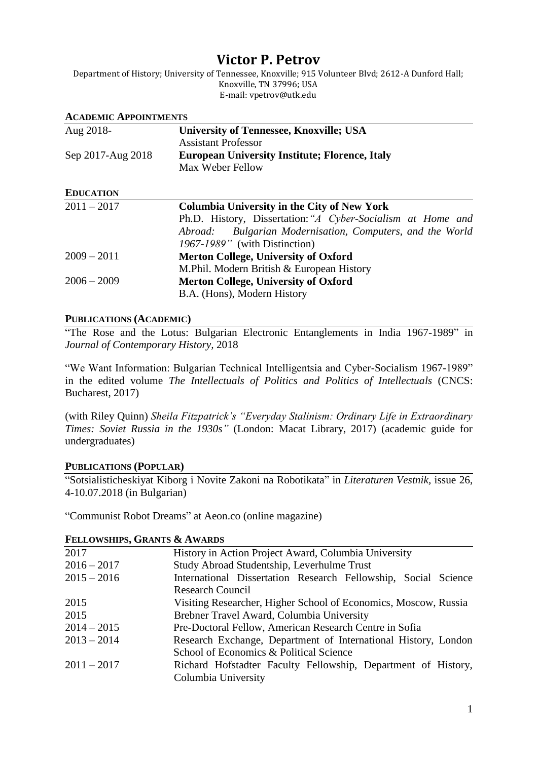# **Victor P. Petrov**

Department of History; University of Tennessee, Knoxville; 915 Volunteer Blvd; 2612-A Dunford Hall; Knoxville, TN 37996; USA E-mail: vpetrov@utk.edu

| <b>ACADEMIC APPOINTMENTS</b> |                                                              |
|------------------------------|--------------------------------------------------------------|
| Aug 2018-                    | <b>University of Tennessee, Knoxville; USA</b>               |
|                              | <b>Assistant Professor</b>                                   |
| Sep 2017-Aug 2018            | <b>European University Institute; Florence, Italy</b>        |
|                              | Max Weber Fellow                                             |
| <b>EDUCATION</b>             |                                                              |
| $2011 - 2017$                | <b>Columbia University in the City of New York</b>           |
|                              | Ph.D. History, Dissertation: "A Cyber-Socialism at Home and  |
|                              | Bulgarian Modernisation, Computers, and the World<br>Abroad: |
|                              | 1967-1989" (with Distinction)                                |
| $2009 - 2011$                | <b>Merton College, University of Oxford</b>                  |
|                              | M.Phil. Modern British & European History                    |
| $2006 - 2009$                | <b>Merton College, University of Oxford</b>                  |
|                              | B.A. (Hons), Modern History                                  |

## **PUBLICATIONS (ACADEMIC)**

"The Rose and the Lotus: Bulgarian Electronic Entanglements in India 1967-1989" in *Journal of Contemporary History,* 2018

"We Want Information: Bulgarian Technical Intelligentsia and Cyber-Socialism 1967-1989" in the edited volume *The Intellectuals of Politics and Politics of Intellectuals* (CNCS: Bucharest, 2017)

(with Riley Quinn) *Sheila Fitzpatrick's "Everyday Stalinism: Ordinary Life in Extraordinary Times: Soviet Russia in the 1930s"* (London: Macat Library, 2017) (academic guide for undergraduates)

# **PUBLICATIONS (POPULAR)**

"Sotsialisticheskiyat Kiborg i Novite Zakoni na Robotikata" in *Literaturen Vestnik,* issue 26, 4-10.07.2018 (in Bulgarian)

"Communist Robot Dreams" at Aeon.co (online magazine)

## **FELLOWSHIPS, GRANTS & AWARDS**

| 2017          | History in Action Project Award, Columbia University            |
|---------------|-----------------------------------------------------------------|
| $2016 - 2017$ | Study Abroad Studentship, Leverhulme Trust                      |
| $2015 - 2016$ | International Dissertation Research Fellowship, Social Science  |
|               | <b>Research Council</b>                                         |
| 2015          | Visiting Researcher, Higher School of Economics, Moscow, Russia |
| 2015          | Brebner Travel Award, Columbia University                       |
| $2014 - 2015$ | Pre-Doctoral Fellow, American Research Centre in Sofia          |
| $2013 - 2014$ | Research Exchange, Department of International History, London  |
|               | School of Economics & Political Science                         |
| $2011 - 2017$ | Richard Hofstadter Faculty Fellowship, Department of History,   |
|               | Columbia University                                             |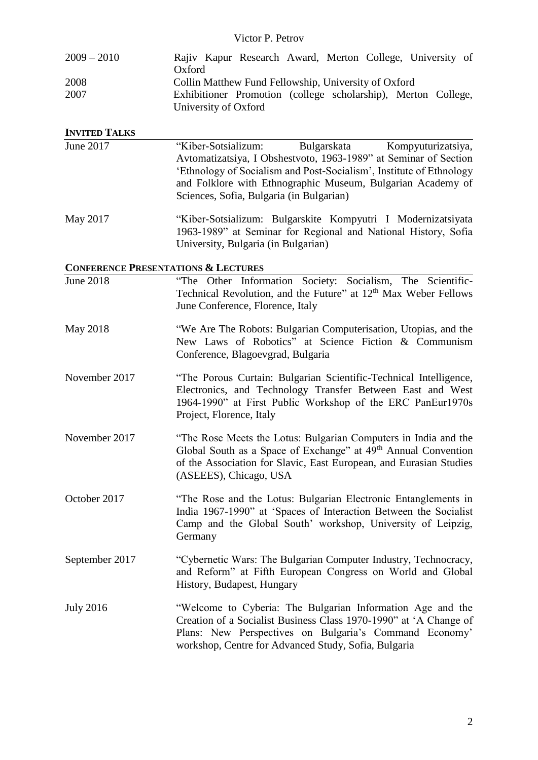## Victor P. Petrov

| $2009 - 2010$ | Rajiv Kapur Research Award, Merton College, University of     |
|---------------|---------------------------------------------------------------|
|               | Oxford                                                        |
| 2008          | Collin Matthew Fund Fellowship, University of Oxford          |
| 2007          | Exhibitioner Promotion (college scholarship), Merton College, |
|               | University of Oxford                                          |

#### **INVITED TALKS**

| June 2017 | "Kiber-Sotsializum:                                                 | Bulgarskata | Kompyuturizatsiya, |
|-----------|---------------------------------------------------------------------|-------------|--------------------|
|           | Avtomatizatsiya, I Obshestvoto, 1963-1989" at Seminar of Section    |             |                    |
|           | 'Ethnology of Socialism and Post-Socialism', Institute of Ethnology |             |                    |
|           | and Folklore with Ethnographic Museum, Bulgarian Academy of         |             |                    |
|           | Sciences, Sofia, Bulgaria (in Bulgarian)                            |             |                    |
|           |                                                                     |             |                    |

May 2017 "Kiber-Sotsializum: Bulgarskite Kompyutri I Modernizatsiyata 1963-1989" at Seminar for Regional and National History, Sofia University, Bulgaria (in Bulgarian)

#### **CONFERENCE PRESENTATIONS & LECTURES**

| <b>June 2018</b> | "The Other Information Society: Socialism, The Scientific-<br>Technical Revolution, and the Future" at 12 <sup>th</sup> Max Weber Fellows<br>June Conference, Florence, Italy                                                                     |
|------------------|---------------------------------------------------------------------------------------------------------------------------------------------------------------------------------------------------------------------------------------------------|
| May 2018         | "We Are The Robots: Bulgarian Computerisation, Utopias, and the<br>New Laws of Robotics" at Science Fiction & Communism<br>Conference, Blagoevgrad, Bulgaria                                                                                      |
| November 2017    | "The Porous Curtain: Bulgarian Scientific-Technical Intelligence,<br>Electronics, and Technology Transfer Between East and West<br>1964-1990" at First Public Workshop of the ERC PanEur1970s<br>Project, Florence, Italy                         |
| November 2017    | "The Rose Meets the Lotus: Bulgarian Computers in India and the<br>Global South as a Space of Exchange" at 49 <sup>th</sup> Annual Convention<br>of the Association for Slavic, East European, and Eurasian Studies<br>(ASEEES), Chicago, USA     |
| October 2017     | "The Rose and the Lotus: Bulgarian Electronic Entanglements in<br>India 1967-1990" at 'Spaces of Interaction Between the Socialist<br>Camp and the Global South' workshop, University of Leipzig,<br>Germany                                      |
| September 2017   | "Cybernetic Wars: The Bulgarian Computer Industry, Technocracy,<br>and Reform" at Fifth European Congress on World and Global<br>History, Budapest, Hungary                                                                                       |
| <b>July 2016</b> | "Welcome to Cyberia: The Bulgarian Information Age and the<br>Creation of a Socialist Business Class 1970-1990" at 'A Change of<br>Plans: New Perspectives on Bulgaria's Command Economy'<br>workshop, Centre for Advanced Study, Sofia, Bulgaria |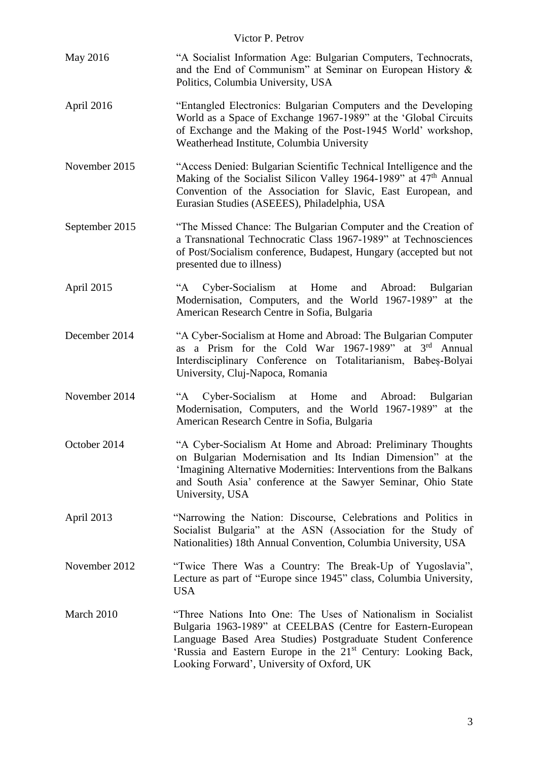| Victor P. Petrov |                                                                                                                                                                                                                                                                                                                         |
|------------------|-------------------------------------------------------------------------------------------------------------------------------------------------------------------------------------------------------------------------------------------------------------------------------------------------------------------------|
| May 2016         | "A Socialist Information Age: Bulgarian Computers, Technocrats,<br>and the End of Communism" at Seminar on European History &<br>Politics, Columbia University, USA                                                                                                                                                     |
| April 2016       | "Entangled Electronics: Bulgarian Computers and the Developing<br>World as a Space of Exchange 1967-1989" at the 'Global Circuits<br>of Exchange and the Making of the Post-1945 World' workshop,<br>Weatherhead Institute, Columbia University                                                                         |
| November 2015    | "Access Denied: Bulgarian Scientific Technical Intelligence and the<br>Making of the Socialist Silicon Valley 1964-1989" at 47 <sup>th</sup> Annual<br>Convention of the Association for Slavic, East European, and<br>Eurasian Studies (ASEEES), Philadelphia, USA                                                     |
| September 2015   | "The Missed Chance: The Bulgarian Computer and the Creation of<br>a Transnational Technocratic Class 1967-1989" at Technosciences<br>of Post/Socialism conference, Budapest, Hungary (accepted but not<br>presented due to illness)                                                                                     |
| April 2015       | Cyber-Socialism at Home and Abroad: Bulgarian<br>$A^{\cdot\cdot}$<br>Modernisation, Computers, and the World 1967-1989" at the<br>American Research Centre in Sofia, Bulgaria                                                                                                                                           |
| December 2014    | "A Cyber-Socialism at Home and Abroad: The Bulgarian Computer<br>as a Prism for the Cold War 1967-1989" at 3rd Annual<br>Interdisciplinary Conference on Totalitarianism, Babeș-Bolyai<br>University, Cluj-Napoca, Romania                                                                                              |
| November 2014    | Cyber-Socialism<br>$A^{\cdot\cdot}$<br>at Home<br>and Abroad: Bulgarian<br>Modernisation, Computers, and the World 1967-1989" at the<br>American Research Centre in Sofia, Bulgaria                                                                                                                                     |
| October 2014     | "A Cyber-Socialism At Home and Abroad: Preliminary Thoughts<br>on Bulgarian Modernisation and Its Indian Dimension" at the<br>'Imagining Alternative Modernities: Interventions from the Balkans<br>and South Asia' conference at the Sawyer Seminar, Ohio State<br>University, USA                                     |
| April 2013       | "Narrowing the Nation: Discourse, Celebrations and Politics in<br>Socialist Bulgaria" at the ASN (Association for the Study of<br>Nationalities) 18th Annual Convention, Columbia University, USA                                                                                                                       |
| November 2012    | "Twice There Was a Country: The Break-Up of Yugoslavia",<br>Lecture as part of "Europe since 1945" class, Columbia University,<br><b>USA</b>                                                                                                                                                                            |
| March 2010       | "Three Nations Into One: The Uses of Nationalism in Socialist<br>Bulgaria 1963-1989" at CEELBAS (Centre for Eastern-European<br>Language Based Area Studies) Postgraduate Student Conference<br>'Russia and Eastern Europe in the 21 <sup>st</sup> Century: Looking Back,<br>Looking Forward', University of Oxford, UK |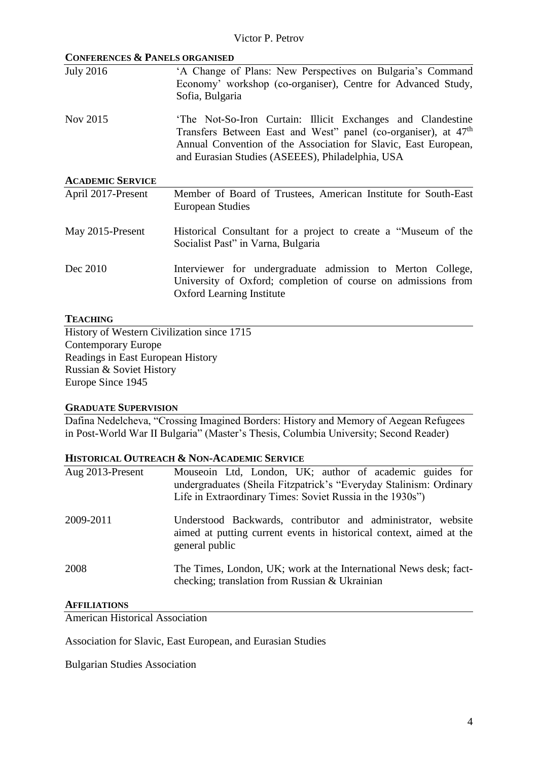| <b>CONFERENCES &amp; PANELS ORGANISED</b> |                                                                                                                                                                                                                                                                 |
|-------------------------------------------|-----------------------------------------------------------------------------------------------------------------------------------------------------------------------------------------------------------------------------------------------------------------|
| <b>July 2016</b>                          | 'A Change of Plans: New Perspectives on Bulgaria's Command<br>Economy' workshop (co-organiser), Centre for Advanced Study,<br>Sofia, Bulgaria                                                                                                                   |
| Nov 2015                                  | The Not-So-Iron Curtain: Illicit Exchanges and Clandestine<br>Transfers Between East and West" panel (co-organiser), at 47 <sup>th</sup><br>Annual Convention of the Association for Slavic, East European,<br>and Eurasian Studies (ASEEES), Philadelphia, USA |
| <b>ACADEMIC SERVICE</b>                   |                                                                                                                                                                                                                                                                 |
| April 2017-Present                        | Member of Board of Trustees, American Institute for South-East<br>European Studies                                                                                                                                                                              |
| May 2015-Present                          | Historical Consultant for a project to create a "Museum of the<br>Socialist Past" in Varna, Bulgaria                                                                                                                                                            |
| Dec 2010                                  | Interviewer for undergraduate admission to Merton College,<br>University of Oxford; completion of course on admissions from<br><b>Oxford Learning Institute</b>                                                                                                 |

## **TEACHING**

History of Western Civilization since 1715 Contemporary Europe Readings in East European History Russian & Soviet History Europe Since 1945

#### **GRADUATE SUPERVISION**

Dafina Nedelcheva, "Crossing Imagined Borders: History and Memory of Aegean Refugees in Post-World War II Bulgaria" (Master's Thesis, Columbia University; Second Reader)

## **HISTORICAL OUTREACH & NON-ACADEMIC SERVICE**

| Aug 2013-Present | Mouseoin Ltd, London, UK; author of academic guides for<br>undergraduates (Sheila Fitzpatrick's "Everyday Stalinism: Ordinary<br>Life in Extraordinary Times: Soviet Russia in the 1930s") |
|------------------|--------------------------------------------------------------------------------------------------------------------------------------------------------------------------------------------|
| 2009-2011        | Understood Backwards, contributor and administrator, website<br>aimed at putting current events in historical context, aimed at the<br>general public                                      |
| 2008             | The Times, London, UK; work at the International News desk; fact-<br>checking; translation from Russian & Ukrainian                                                                        |

#### **AFFILIATIONS**

American Historical Association

Association for Slavic, East European, and Eurasian Studies

Bulgarian Studies Association